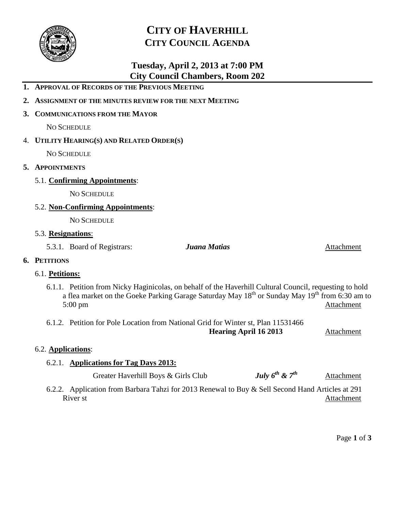

# **CITY OF HAVERHILL CITY COUNCIL AGENDA**

# **Tuesday, April 2, 2013 at 7:00 PM City Council Chambers, Room 202**

|    | 2. ASSIGNMENT OF THE MINUTES REVIEW FOR THE NEXT MEETING |                                            |                                                                                                                                                                                                                                   |            |  |
|----|----------------------------------------------------------|--------------------------------------------|-----------------------------------------------------------------------------------------------------------------------------------------------------------------------------------------------------------------------------------|------------|--|
|    | 3. COMMUNICATIONS FROM THE MAYOR                         |                                            |                                                                                                                                                                                                                                   |            |  |
|    |                                                          | <b>NO SCHEDULE</b>                         |                                                                                                                                                                                                                                   |            |  |
|    |                                                          | 4. UTILITY HEARING(S) AND RELATED ORDER(S) |                                                                                                                                                                                                                                   |            |  |
|    |                                                          | <b>NO SCHEDULE</b>                         |                                                                                                                                                                                                                                   |            |  |
| 5. | <b>APPOINTMENTS</b>                                      |                                            |                                                                                                                                                                                                                                   |            |  |
|    |                                                          | 5.1. Confirming Appointments:              |                                                                                                                                                                                                                                   |            |  |
|    |                                                          | <b>NO SCHEDULE</b>                         |                                                                                                                                                                                                                                   |            |  |
|    |                                                          | 5.2. Non-Confirming Appointments:          |                                                                                                                                                                                                                                   |            |  |
|    |                                                          | <b>NO SCHEDULE</b>                         |                                                                                                                                                                                                                                   |            |  |
|    | 5.3. Resignations:                                       |                                            |                                                                                                                                                                                                                                   |            |  |
|    |                                                          | 5.3.1. Board of Registrars:                | Juana Matias                                                                                                                                                                                                                      | Attachment |  |
|    | 6. PETITIONS                                             |                                            |                                                                                                                                                                                                                                   |            |  |
|    | 6.1. Petitions:                                          |                                            |                                                                                                                                                                                                                                   |            |  |
|    |                                                          | $5:00 \text{ pm}$                          | 6.1.1. Petition from Nicky Haginicolas, on behalf of the Haverhill Cultural Council, requesting to hold<br>a flea market on the Goeke Parking Garage Saturday May 18 <sup>th</sup> or Sunday May 19 <sup>th</sup> from 6:30 am to | Attachment |  |
|    |                                                          |                                            | 6.1.2. Petition for Pole Location from National Grid for Winter st, Plan 11531466<br><b>Hearing April 16 2013</b>                                                                                                                 | Attachment |  |

## 6.2. **Applications**:

## 6.2.1. **Applications for Tag Days 2013:**

**1. APPROVAL OF RECORDS OF THE PREVIOUS MEETING**

|  | Greater Haverhill Boys & Girls Club | July $6^{th}$ & $7^{th}$ | Attachment |
|--|-------------------------------------|--------------------------|------------|
|--|-------------------------------------|--------------------------|------------|

6.2.2. Application from Barbara Tahzi for 2013 Renewal to Buy & Sell Second Hand Articles at 291 **Attachment** 

Page **1** of **3**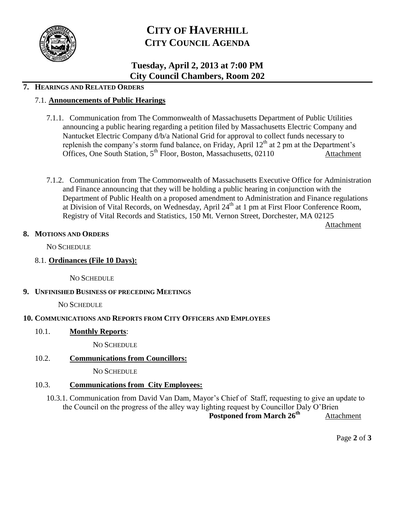

# **CITY OF HAVERHILL CITY COUNCIL AGENDA**

## **Tuesday, April 2, 2013 at 7:00 PM City Council Chambers, Room 202**

### **7. HEARINGS AND RELATED ORDERS**

#### 7.1. **Announcements of Public Hearings**

- 7.1.1. Communication from The Commonwealth of Massachusetts Department of Public Utilities announcing a public hearing regarding a petition filed by Massachusetts Electric Company and Nantucket Electric Company d/b/a National Grid for approval to collect funds necessary to replenish the company's storm fund balance, on Friday, April  $12<sup>th</sup>$  at 2 pm at the Department's Offices, One South Station, 5<sup>th</sup> Floor, Boston, Massachusetts, 02110 Attachment
- 7.1.2. Communication from The Commonwealth of Massachusetts Executive Office for Administration and Finance announcing that they will be holding a public hearing in conjunction with the Department of Public Health on a proposed amendment to Administration and Finance regulations at Division of Vital Records, on Wednesday, April 24<sup>th</sup> at 1 pm at First Floor Conference Room, Registry of Vital Records and Statistics, 150 Mt. Vernon Street, Dorchester, MA 02125

Attachment

#### **8. MOTIONS AND ORDERS**

NO SCHEDULE

8.1. **Ordinances (File 10 Days):**

NO SCHEDULE

#### **9. UNFINISHED BUSINESS OF PRECEDING MEETINGS**

NO SCHEDULE

#### **10. COMMUNICATIONS AND REPORTS FROM CITY OFFICERS AND EMPLOYEES**

10.1. **Monthly Reports**:

NO SCHEDULE

#### 10.2. **Communications from Councillors:**

NO SCHEDULE

## 10.3. **Communications from City Employees:**

10.3.1. Communication from David Van Dam, Mayor's Chief of Staff, requesting to give an update to the Council on the progress of the alley way lighting request by Councillor Daly O'Brien Postponed from March 26<sup>th</sup> Attachment

Page **2** of **3**